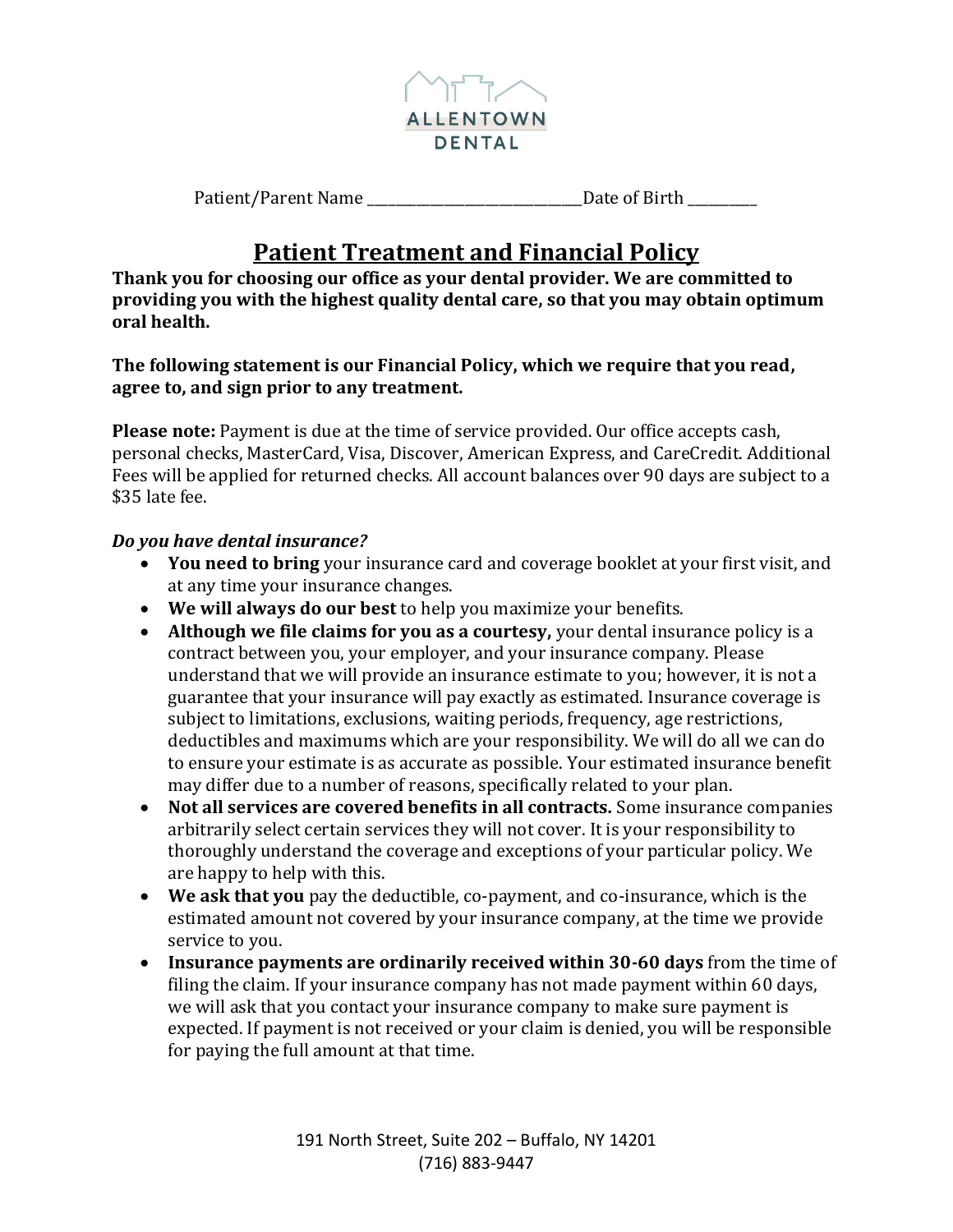

| Patient/Parent Name | Date of Birth |
|---------------------|---------------|
|---------------------|---------------|

## **Patient Treatment and Financial Policy**

**Thank you for choosing our office as your dental provider. We are committed to providing you with the highest quality dental care, so that you may obtain optimum oral health.** 

**The following statement is our Financial Policy, which we require that you read, agree to, and sign prior to any treatment.** 

**Please note:** Payment is due at the time of service provided. Our office accepts cash, personal checks, MasterCard, Visa, Discover, American Express, and CareCredit. Additional Fees will be applied for returned checks. All account balances over 90 days are subject to a \$35 late fee.

## *Do you have dental insurance?*

- **You need to bring** your insurance card and coverage booklet at your first visit, and at any time your insurance changes.
- **We will always do our best** to help you maximize your benefits.
- **Although we file claims for you as a courtesy,** your dental insurance policy is a contract between you, your employer, and your insurance company. Please understand that we will provide an insurance estimate to you; however, it is not a guarantee that your insurance will pay exactly as estimated. Insurance coverage is subject to limitations, exclusions, waiting periods, frequency, age restrictions, deductibles and maximums which are your responsibility. We will do all we can do to ensure your estimate is as accurate as possible. Your estimated insurance benefit may differ due to a number of reasons, specifically related to your plan.
- **Not all services are covered benefits in all contracts.** Some insurance companies arbitrarily select certain services they will not cover. It is your responsibility to thoroughly understand the coverage and exceptions of your particular policy. We are happy to help with this.
- **We ask that you** pay the deductible, co-payment, and co-insurance, which is the estimated amount not covered by your insurance company, at the time we provide service to you.
- **Insurance payments are ordinarily received within 30-60 days** from the time of filing the claim. If your insurance company has not made payment within 60 days, we will ask that you contact your insurance company to make sure payment is expected. If payment is not received or your claim is denied, you will be responsible for paying the full amount at that time.